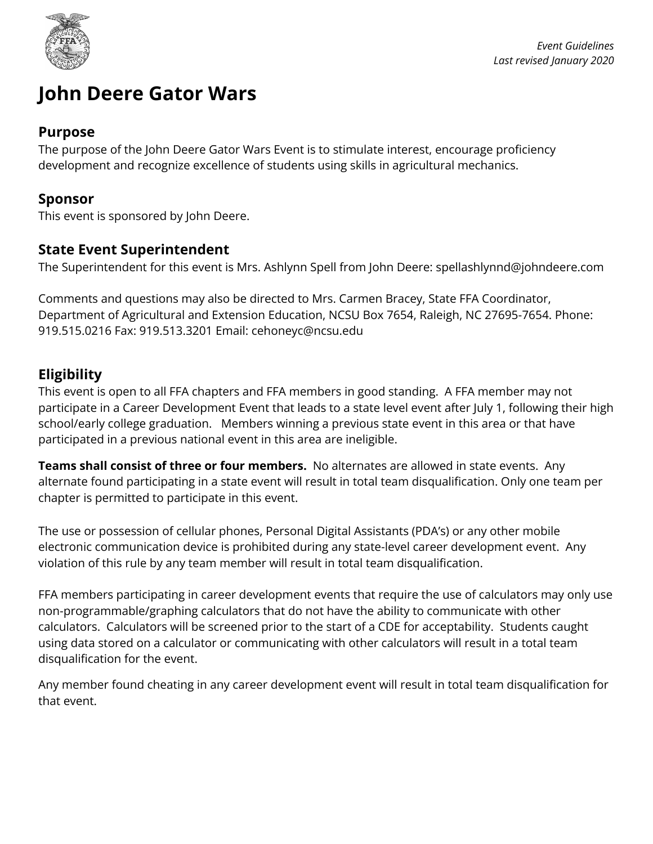

# **John Deere Gator Wars**

#### **Purpose**

The purpose of the John Deere Gator Wars Event is to stimulate interest, encourage proficiency development and recognize excellence of students using skills in agricultural mechanics.

#### **Sponsor**

This event is sponsored by John Deere.

#### **State Event Superintendent**

The Superintendent for this event is Mrs. Ashlynn Spell from John Deere: spellashlynnd@johndeere.com

Comments and questions may also be directed to Mrs. Carmen Bracey, State FFA Coordinator, Department of Agricultural and Extension Education, NCSU Box 7654, Raleigh, NC 27695-7654. Phone: 919.515.0216 Fax: 919.513.3201 Email: cehoneyc@ncsu.edu

#### **Eligibility**

This event is open to all FFA chapters and FFA members in good standing. A FFA member may not participate in a Career Development Event that leads to a state level event after July 1, following their high school/early college graduation. Members winning a previous state event in this area or that have participated in a previous national event in this area are ineligible.

**Teams shall consist of three or four members.** No alternates are allowed in state events. Any alternate found participating in a state event will result in total team disqualification. Only one team per chapter is permitted to participate in this event.

The use or possession of cellular phones, Personal Digital Assistants (PDA's) or any other mobile electronic communication device is prohibited during any state-level career development event. Any violation of this rule by any team member will result in total team disqualification.

FFA members participating in career development events that require the use of calculators may only use non-programmable/graphing calculators that do not have the ability to communicate with other calculators. Calculators will be screened prior to the start of a CDE for acceptability. Students caught using data stored on a calculator or communicating with other calculators will result in a total team disqualification for the event.

Any member found cheating in any career development event will result in total team disqualification for that event.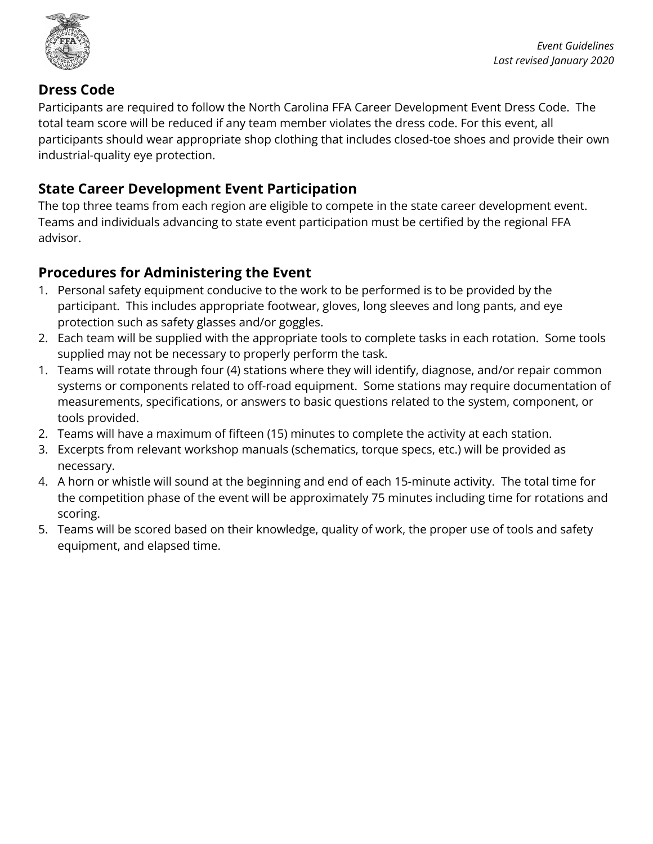

### **Dress Code**

Participants are required to follow the North Carolina FFA Career Development Event Dress Code. The total team score will be reduced if any team member violates the dress code. For this event, all participants should wear appropriate shop clothing that includes closed-toe shoes and provide their own industrial-quality eye protection.

## **State Career Development Event Participation**

The top three teams from each region are eligible to compete in the state career development event. Teams and individuals advancing to state event participation must be certified by the regional FFA advisor.

## **Procedures for Administering the Event**

- 1. Personal safety equipment conducive to the work to be performed is to be provided by the participant. This includes appropriate footwear, gloves, long sleeves and long pants, and eye protection such as safety glasses and/or goggles.
- 2. Each team will be supplied with the appropriate tools to complete tasks in each rotation. Some tools supplied may not be necessary to properly perform the task.
- 1. Teams will rotate through four (4) stations where they will identify, diagnose, and/or repair common systems or components related to off-road equipment. Some stations may require documentation of measurements, specifications, or answers to basic questions related to the system, component, or tools provided.
- 2. Teams will have a maximum of fifteen (15) minutes to complete the activity at each station.
- 3. Excerpts from relevant workshop manuals (schematics, torque specs, etc.) will be provided as necessary.
- 4. A horn or whistle will sound at the beginning and end of each 15-minute activity. The total time for the competition phase of the event will be approximately 75 minutes including time for rotations and scoring.
- 5. Teams will be scored based on their knowledge, quality of work, the proper use of tools and safety equipment, and elapsed time.